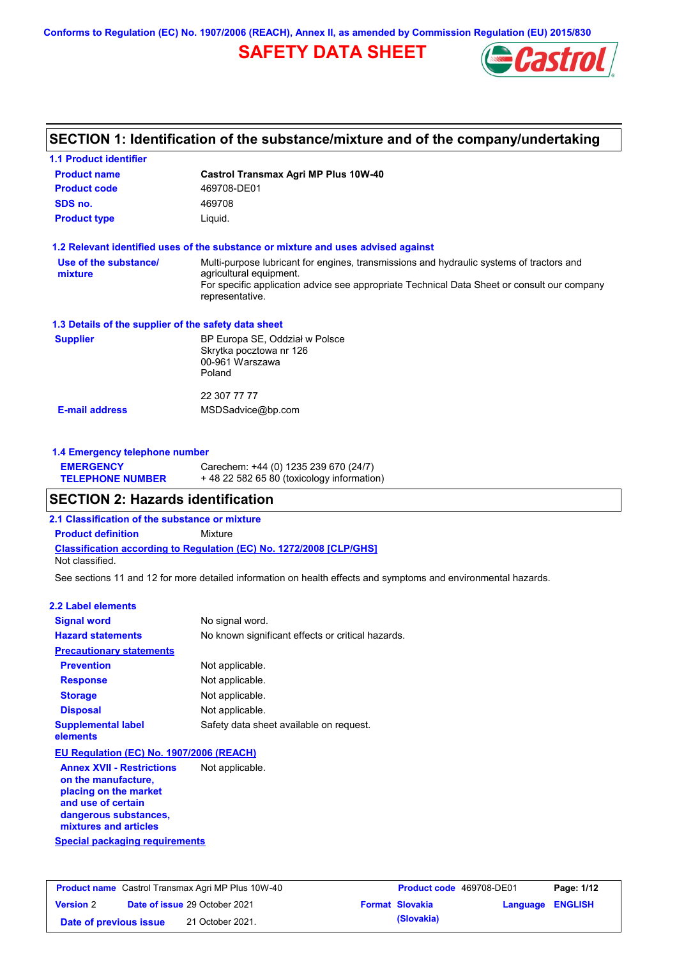**Conforms to Regulation (EC) No. 1907/2006 (REACH), Annex II, as amended by Commission Regulation (EU) 2015/830**

## **SAFETY DATA SHEET**



## **SECTION 1: Identification of the substance/mixture and of the company/undertaking**

| <b>1.1 Product identifier</b>                        |                                                                                                                                                                                                                                       |
|------------------------------------------------------|---------------------------------------------------------------------------------------------------------------------------------------------------------------------------------------------------------------------------------------|
| <b>Product name</b>                                  | Castrol Transmax Agri MP Plus 10W-40                                                                                                                                                                                                  |
| <b>Product code</b>                                  | 469708-DE01                                                                                                                                                                                                                           |
| SDS no.                                              | 469708                                                                                                                                                                                                                                |
| <b>Product type</b>                                  | Liquid.                                                                                                                                                                                                                               |
|                                                      | 1.2 Relevant identified uses of the substance or mixture and uses advised against                                                                                                                                                     |
| Use of the substance/<br>mixture                     | Multi-purpose lubricant for engines, transmissions and hydraulic systems of tractors and<br>agricultural equipment.<br>For specific application advice see appropriate Technical Data Sheet or consult our company<br>representative. |
| 1.3 Details of the supplier of the safety data sheet |                                                                                                                                                                                                                                       |
| <b>Supplier</b>                                      | BP Europa SE, Oddział w Polsce<br>Skrytka pocztowa nr 126<br>00-961 Warszawa<br>Poland                                                                                                                                                |
|                                                      | 22 307 77 77                                                                                                                                                                                                                          |
| <b>E-mail address</b>                                | MSDSadvice@bp.com                                                                                                                                                                                                                     |
| 1.4 Emergency telephone number                       |                                                                                                                                                                                                                                       |
| <b>EMERGENCY</b><br><b>TELEPHONE NUMBER</b>          | Carechem: +44 (0) 1235 239 670 (24/7)<br>+48 22 582 65 80 (toxicology information)                                                                                                                                                    |
| <b>SECTION 2: Hazards identification</b>             |                                                                                                                                                                                                                                       |
| 2.1 Classification of the substance or mixture       |                                                                                                                                                                                                                                       |
| <b>Product definition</b>                            | Mixture                                                                                                                                                                                                                               |
| Not classified.                                      | <b>Classification according to Regulation (EC) No. 1272/2008 [CLP/GHS]</b>                                                                                                                                                            |
|                                                      | See sections 11 and 12 for more detailed information on health effects and symptoms and environmental hazards.                                                                                                                        |
| <b>2.2 Label elements</b>                            |                                                                                                                                                                                                                                       |
| <b>Signal word</b>                                   | No signal word.                                                                                                                                                                                                                       |
| <b>Hazard statements</b>                             | No known significant effects or critical hazards.                                                                                                                                                                                     |
| <b>Precautionary statements</b>                      |                                                                                                                                                                                                                                       |
| <b>Prevention</b>                                    | Not applicable.                                                                                                                                                                                                                       |
| <b>Response</b>                                      | Not applicable.                                                                                                                                                                                                                       |
| <b>Storage</b>                                       | Not applicable.                                                                                                                                                                                                                       |
| <b>Disposal</b>                                      | Not applicable.                                                                                                                                                                                                                       |
| <b>Supplemental label</b><br>elements                | Safety data sheet available on request.                                                                                                                                                                                               |
|                                                      |                                                                                                                                                                                                                                       |

### **EU Regulation (EC) No. 1907/2006 (REACH)**

**Special packaging requirements Annex XVII - Restrictions on the manufacture, placing on the market and use of certain dangerous substances, mixtures and articles** Not applicable.

| <b>Product name</b> Castrol Transmax Agri MP Plus 10W-40 |  | <b>Product code</b> 469708-DE01      |  | Page: 1/12             |                         |  |
|----------------------------------------------------------|--|--------------------------------------|--|------------------------|-------------------------|--|
| <b>Version 2</b>                                         |  | <b>Date of issue 29 October 2021</b> |  | <b>Format Slovakia</b> | <b>Language ENGLISH</b> |  |
| Date of previous issue                                   |  | 21 October 2021.                     |  | (Slovakia)             |                         |  |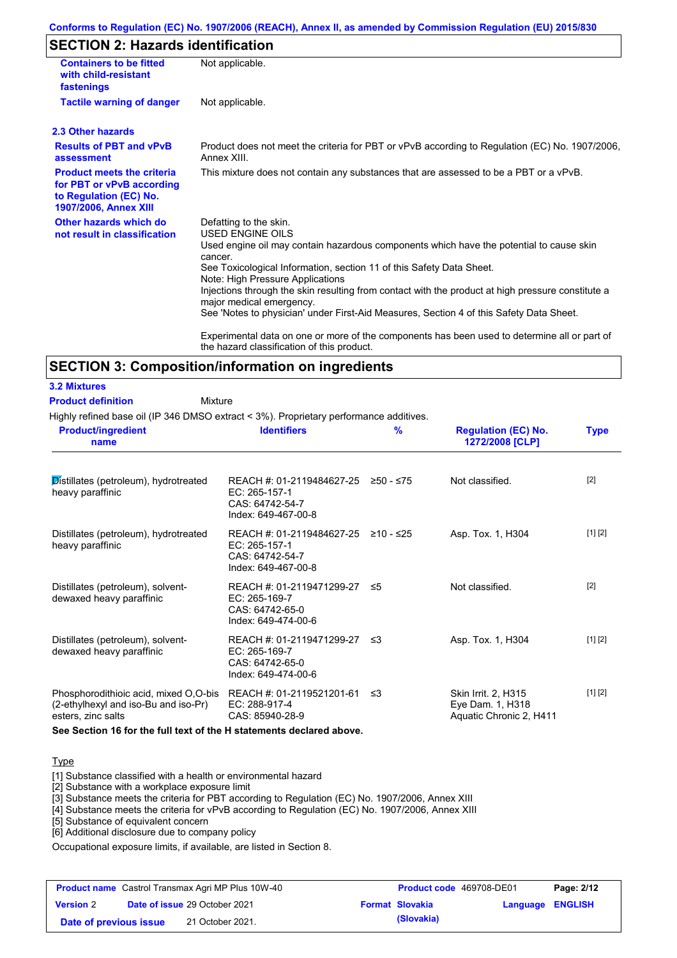### **Conforms to Regulation (EC) No. 1907/2006 (REACH), Annex II, as amended by Commission Regulation (EU) 2015/830**

## **SECTION 2: Hazards identification**

| <b>Containers to be fitted</b><br>with child-resistant<br>fastenings                                              | Not applicable.                                                                                                                                                                                                                                                                                                                                                                                                                                                                          |
|-------------------------------------------------------------------------------------------------------------------|------------------------------------------------------------------------------------------------------------------------------------------------------------------------------------------------------------------------------------------------------------------------------------------------------------------------------------------------------------------------------------------------------------------------------------------------------------------------------------------|
| <b>Tactile warning of danger</b>                                                                                  | Not applicable.                                                                                                                                                                                                                                                                                                                                                                                                                                                                          |
| 2.3 Other hazards                                                                                                 |                                                                                                                                                                                                                                                                                                                                                                                                                                                                                          |
| <b>Results of PBT and vPvB</b><br>assessment                                                                      | Product does not meet the criteria for PBT or vPvB according to Regulation (EC) No. 1907/2006,<br>Annex XIII.                                                                                                                                                                                                                                                                                                                                                                            |
| <b>Product meets the criteria</b><br>for PBT or vPvB according<br>to Regulation (EC) No.<br>1907/2006, Annex XIII | This mixture does not contain any substances that are assessed to be a PBT or a vPvB.                                                                                                                                                                                                                                                                                                                                                                                                    |
| Other hazards which do<br>not result in classification                                                            | Defatting to the skin.<br>USED ENGINE OILS<br>Used engine oil may contain hazardous components which have the potential to cause skin<br>cancer.<br>See Toxicological Information, section 11 of this Safety Data Sheet.<br>Note: High Pressure Applications<br>Injections through the skin resulting from contact with the product at high pressure constitute a<br>major medical emergency.<br>See 'Notes to physician' under First-Aid Measures, Section 4 of this Safety Data Sheet. |
|                                                                                                                   | Experimental data on one or more of the components has been used to determine all or part of<br>the hazard classification of this product.                                                                                                                                                                                                                                                                                                                                               |

### **SECTION 3: Composition/information on ingredients**

### **3.2 Mixtures**

Mixture **Product definition**

Highly refined base oil (IP 346 DMSO extract < 3%). Proprietary performance additives.

| <b>Product/ingredient</b><br>name                                                                   | <b>Identifiers</b>                                                                     | $\frac{9}{6}$ | <b>Regulation (EC) No.</b><br>1272/2008 [CLP]                             | <b>Type</b> |
|-----------------------------------------------------------------------------------------------------|----------------------------------------------------------------------------------------|---------------|---------------------------------------------------------------------------|-------------|
| Distillates (petroleum), hydrotreated<br>heavy paraffinic                                           | REACH #: 01-2119484627-25<br>EC: 265-157-1<br>CAS: 64742-54-7<br>Index: 649-467-00-8   | ≥50 - ≤75     | Not classified.                                                           | $[2]$       |
| Distillates (petroleum), hydrotreated<br>heavy paraffinic                                           | REACH #: 01-2119484627-25<br>$EC: 265-157-1$<br>CAS: 64742-54-7<br>Index: 649-467-00-8 | ≥10 - ≤25     | Asp. Tox. 1, H304                                                         | [1] [2]     |
| Distillates (petroleum), solvent-<br>dewaxed heavy paraffinic                                       | REACH #: 01-2119471299-27<br>EC: 265-169-7<br>CAS: 64742-65-0<br>Index: 649-474-00-6   | ≤5            | Not classified.                                                           | $[2]$       |
| Distillates (petroleum), solvent-<br>dewaxed heavy paraffinic                                       | REACH #: 01-2119471299-27<br>EC: 265-169-7<br>CAS: 64742-65-0<br>Index: 649-474-00-6   | -≤3           | Asp. Tox. 1, H304                                                         | [1] [2]     |
| Phosphorodithioic acid, mixed O,O-bis<br>(2-ethylhexyl and iso-Bu and iso-Pr)<br>esters, zinc salts | REACH #: 01-2119521201-61<br>EC: 288-917-4<br>CAS: 85940-28-9                          | -≤3           | <b>Skin Irrit. 2, H315</b><br>Eye Dam. 1, H318<br>Aquatic Chronic 2, H411 | [1] [2]     |

**See Section 16 for the full text of the H statements declared above.**

### **Type**

[1] Substance classified with a health or environmental hazard

[2] Substance with a workplace exposure limit

[3] Substance meets the criteria for PBT according to Regulation (EC) No. 1907/2006, Annex XIII

[4] Substance meets the criteria for vPvB according to Regulation (EC) No. 1907/2006, Annex XIII

[5] Substance of equivalent concern

[6] Additional disclosure due to company policy

Occupational exposure limits, if available, are listed in Section 8.

| <b>Product name</b> Castrol Transmax Agri MP Plus 10W-40 |  | <b>Product code</b> 469708-DE01      |                        | Page: 2/12       |  |
|----------------------------------------------------------|--|--------------------------------------|------------------------|------------------|--|
| <b>Version 2</b>                                         |  | <b>Date of issue 29 October 2021</b> | <b>Format Slovakia</b> | Language ENGLISH |  |
| Date of previous issue                                   |  | 21 October 2021.                     | (Slovakia)             |                  |  |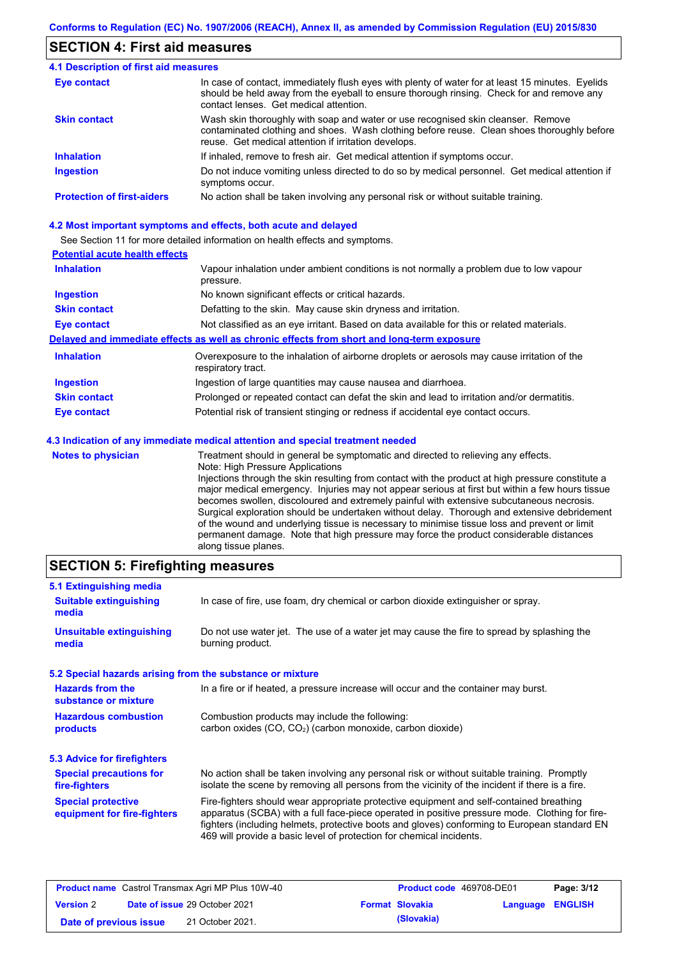### **SECTION 4: First aid measures**

| 4.1 Description of first aid measures |                                                                                                                                                                                                                                         |
|---------------------------------------|-----------------------------------------------------------------------------------------------------------------------------------------------------------------------------------------------------------------------------------------|
| <b>Eye contact</b>                    | In case of contact, immediately flush eyes with plenty of water for at least 15 minutes. Eyelids<br>should be held away from the eyeball to ensure thorough rinsing. Check for and remove any<br>contact lenses. Get medical attention. |
| <b>Skin contact</b>                   | Wash skin thoroughly with soap and water or use recognised skin cleanser. Remove<br>contaminated clothing and shoes. Wash clothing before reuse. Clean shoes thoroughly before<br>reuse. Get medical attention if irritation develops.  |
| <b>Inhalation</b>                     | If inhaled, remove to fresh air. Get medical attention if symptoms occur.                                                                                                                                                               |
| <b>Ingestion</b>                      | Do not induce vomiting unless directed to do so by medical personnel. Get medical attention if<br>symptoms occur.                                                                                                                       |
| <b>Protection of first-aiders</b>     | No action shall be taken involving any personal risk or without suitable training.                                                                                                                                                      |

### **4.2 Most important symptoms and effects, both acute and delayed**

See Section 11 for more detailed information on health effects and symptoms.

### **Potential acute health effects**

| <b>Inhalation</b>         | Vapour inhalation under ambient conditions is not normally a problem due to low vapour<br>pressure.                                                                                                                        |
|---------------------------|----------------------------------------------------------------------------------------------------------------------------------------------------------------------------------------------------------------------------|
| <b>Ingestion</b>          | No known significant effects or critical hazards.                                                                                                                                                                          |
| <b>Skin contact</b>       | Defatting to the skin. May cause skin dryness and irritation.                                                                                                                                                              |
| <b>Eye contact</b>        | Not classified as an eye irritant. Based on data available for this or related materials.                                                                                                                                  |
|                           | Delayed and immediate effects as well as chronic effects from short and long-term exposure                                                                                                                                 |
| <b>Inhalation</b>         | Overexposure to the inhalation of airborne droplets or aerosols may cause irritation of the<br>respiratory tract.                                                                                                          |
| <b>Ingestion</b>          | Ingestion of large quantities may cause nausea and diarrhoea.                                                                                                                                                              |
| <b>Skin contact</b>       | Prolonged or repeated contact can defat the skin and lead to irritation and/or dermatitis.                                                                                                                                 |
| <b>Eye contact</b>        | Potential risk of transient stinging or redness if accidental eye contact occurs.                                                                                                                                          |
|                           | 4.3 Indication of any immediate medical attention and special treatment needed                                                                                                                                             |
| <b>Notes to physician</b> | Treatment should in general be symptomatic and directed to relieving any effects.<br>Note: High Pressure Applications<br>Injections through the skin resulting from contact with the product at high pressure constitute a |

Injections through the skin resulting from contact with the product at high pressure constitute a major medical emergency. Injuries may not appear serious at first but within a few hours tissue becomes swollen, discoloured and extremely painful with extensive subcutaneous necrosis. Surgical exploration should be undertaken without delay. Thorough and extensive debridement of the wound and underlying tissue is necessary to minimise tissue loss and prevent or limit permanent damage. Note that high pressure may force the product considerable distances along tissue planes.

### **SECTION 5: Firefighting measures**

| 5.1 Extinguishing media                                   |                                                                                                                                                                                                                                                                                                                                                                   |
|-----------------------------------------------------------|-------------------------------------------------------------------------------------------------------------------------------------------------------------------------------------------------------------------------------------------------------------------------------------------------------------------------------------------------------------------|
| <b>Suitable extinguishing</b><br>media                    | In case of fire, use foam, dry chemical or carbon dioxide extinguisher or spray.                                                                                                                                                                                                                                                                                  |
| <b>Unsuitable extinguishing</b><br>media                  | Do not use water jet. The use of a water jet may cause the fire to spread by splashing the<br>burning product.                                                                                                                                                                                                                                                    |
| 5.2 Special hazards arising from the substance or mixture |                                                                                                                                                                                                                                                                                                                                                                   |
| <b>Hazards from the</b><br>substance or mixture           | In a fire or if heated, a pressure increase will occur and the container may burst.                                                                                                                                                                                                                                                                               |
| <b>Hazardous combustion</b><br>products                   | Combustion products may include the following:<br>carbon oxides (CO, CO <sub>2</sub> ) (carbon monoxide, carbon dioxide)                                                                                                                                                                                                                                          |
| 5.3 Advice for firefighters                               |                                                                                                                                                                                                                                                                                                                                                                   |
| <b>Special precautions for</b><br>fire-fighters           | No action shall be taken involving any personal risk or without suitable training. Promptly<br>isolate the scene by removing all persons from the vicinity of the incident if there is a fire.                                                                                                                                                                    |
| <b>Special protective</b><br>equipment for fire-fighters  | Fire-fighters should wear appropriate protective equipment and self-contained breathing<br>apparatus (SCBA) with a full face-piece operated in positive pressure mode. Clothing for fire-<br>fighters (including helmets, protective boots and gloves) conforming to European standard EN<br>469 will provide a basic level of protection for chemical incidents. |

| <b>Product name</b> Castrol Transmax Agri MP Plus 10W-40 |  | <b>Product code</b> 469708-DE01      |                        | Page: 3/12       |  |
|----------------------------------------------------------|--|--------------------------------------|------------------------|------------------|--|
| <b>Version 2</b>                                         |  | <b>Date of issue 29 October 2021</b> | <b>Format Slovakia</b> | Language ENGLISH |  |
| Date of previous issue                                   |  | 21 October 2021.                     | (Slovakia)             |                  |  |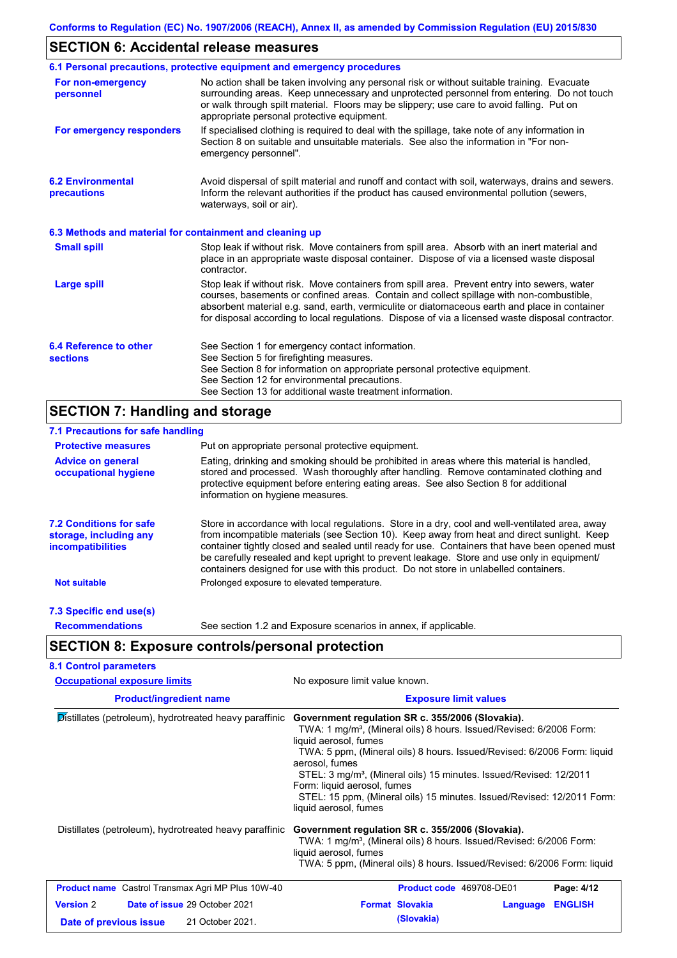## **SECTION 6: Accidental release measures**

|                                                          | 6.1 Personal precautions, protective equipment and emergency procedures                                                                                                                                                                                                                                                                                                                        |
|----------------------------------------------------------|------------------------------------------------------------------------------------------------------------------------------------------------------------------------------------------------------------------------------------------------------------------------------------------------------------------------------------------------------------------------------------------------|
| For non-emergency<br>personnel                           | No action shall be taken involving any personal risk or without suitable training. Evacuate<br>surrounding areas. Keep unnecessary and unprotected personnel from entering. Do not touch<br>or walk through spilt material. Floors may be slippery; use care to avoid falling. Put on<br>appropriate personal protective equipment.                                                            |
| For emergency responders                                 | If specialised clothing is required to deal with the spillage, take note of any information in<br>Section 8 on suitable and unsuitable materials. See also the information in "For non-<br>emergency personnel".                                                                                                                                                                               |
| <b>6.2 Environmental</b><br>precautions                  | Avoid dispersal of spilt material and runoff and contact with soil, waterways, drains and sewers.<br>Inform the relevant authorities if the product has caused environmental pollution (sewers,<br>waterways, soil or air).                                                                                                                                                                    |
| 6.3 Methods and material for containment and cleaning up |                                                                                                                                                                                                                                                                                                                                                                                                |
| <b>Small spill</b>                                       | Stop leak if without risk. Move containers from spill area. Absorb with an inert material and<br>place in an appropriate waste disposal container. Dispose of via a licensed waste disposal<br>contractor.                                                                                                                                                                                     |
| <b>Large spill</b>                                       | Stop leak if without risk. Move containers from spill area. Prevent entry into sewers, water<br>courses, basements or confined areas. Contain and collect spillage with non-combustible,<br>absorbent material e.g. sand, earth, vermiculite or diatomaceous earth and place in container<br>for disposal according to local regulations. Dispose of via a licensed waste disposal contractor. |
| 6.4 Reference to other<br><b>sections</b>                | See Section 1 for emergency contact information.<br>See Section 5 for firefighting measures.<br>See Section 8 for information on appropriate personal protective equipment.<br>See Section 12 for environmental precautions.<br>See Section 13 for additional waste treatment information.                                                                                                     |

# **SECTION 7: Handling and storage**

| 7.1 Precautions for safe handling                                                    |                                                                                                                                                                                                                                                                                                                                                                                                                                                                                          |
|--------------------------------------------------------------------------------------|------------------------------------------------------------------------------------------------------------------------------------------------------------------------------------------------------------------------------------------------------------------------------------------------------------------------------------------------------------------------------------------------------------------------------------------------------------------------------------------|
| <b>Protective measures</b>                                                           | Put on appropriate personal protective equipment.                                                                                                                                                                                                                                                                                                                                                                                                                                        |
| <b>Advice on general</b><br>occupational hygiene                                     | Eating, drinking and smoking should be prohibited in areas where this material is handled,<br>stored and processed. Wash thoroughly after handling. Remove contaminated clothing and<br>protective equipment before entering eating areas. See also Section 8 for additional<br>information on hygiene measures.                                                                                                                                                                         |
| <b>7.2 Conditions for safe</b><br>storage, including any<br><i>incompatibilities</i> | Store in accordance with local regulations. Store in a dry, cool and well-ventilated area, away<br>from incompatible materials (see Section 10). Keep away from heat and direct sunlight. Keep<br>container tightly closed and sealed until ready for use. Containers that have been opened must<br>be carefully resealed and kept upright to prevent leakage. Store and use only in equipment/<br>containers designed for use with this product. Do not store in unlabelled containers. |
| <b>Not suitable</b>                                                                  | Prolonged exposure to elevated temperature.                                                                                                                                                                                                                                                                                                                                                                                                                                              |
| 7.3 Specific end use(s)                                                              |                                                                                                                                                                                                                                                                                                                                                                                                                                                                                          |
| <b>Recommendations</b>                                                               | See section 1.2 and Exposure scenarios in annex, if applicable.                                                                                                                                                                                                                                                                                                                                                                                                                          |
|                                                                                      | <b>SECTION 8: Exposure controls/personal protection</b>                                                                                                                                                                                                                                                                                                                                                                                                                                  |
| <b>8.1 Control parameters</b>                                                        |                                                                                                                                                                                                                                                                                                                                                                                                                                                                                          |
| <b>Occupational exposure limits</b>                                                  | No exposure limit value known.                                                                                                                                                                                                                                                                                                                                                                                                                                                           |
|                                                                                      |                                                                                                                                                                                                                                                                                                                                                                                                                                                                                          |

| <b>Product/ingredient name</b>                           | <b>Exposure limit values</b>                                                                                                                                                                                                                                                                                                                                                                                                                                                  |
|----------------------------------------------------------|-------------------------------------------------------------------------------------------------------------------------------------------------------------------------------------------------------------------------------------------------------------------------------------------------------------------------------------------------------------------------------------------------------------------------------------------------------------------------------|
| Distillates (petroleum), hydrotreated heavy paraffinic   | Government regulation SR c. 355/2006 (Slovakia).<br>TWA: 1 mg/m <sup>3</sup> , (Mineral oils) 8 hours. Issued/Revised: 6/2006 Form:<br>liquid aerosol, fumes<br>TWA: 5 ppm, (Mineral oils) 8 hours. Issued/Revised: 6/2006 Form: liquid<br>aerosol, fumes<br>STEL: 3 mg/m <sup>3</sup> , (Mineral oils) 15 minutes. Issued/Revised: 12/2011<br>Form: liquid aerosol, fumes<br>STEL: 15 ppm, (Mineral oils) 15 minutes. Issued/Revised: 12/2011 Form:<br>liquid aerosol, fumes |
| Distillates (petroleum), hydrotreated heavy paraffinic   | Government regulation SR c. 355/2006 (Slovakia).<br>TWA: 1 mg/m <sup>3</sup> , (Mineral oils) 8 hours. Issued/Revised: 6/2006 Form:<br>liquid aerosol, fumes<br>TWA: 5 ppm, (Mineral oils) 8 hours. Issued/Revised: 6/2006 Form: liquid                                                                                                                                                                                                                                       |
| <b>Product name</b> Castrol Transmax Agri MP Plus 10W-40 | Page: 4/12<br><b>Product code</b> 469708-DE01                                                                                                                                                                                                                                                                                                                                                                                                                                 |
| <b>Version 2</b><br><b>Date of issue 29 October 2021</b> | <b>Format Slovakia</b><br><b>ENGLISH</b><br>Language                                                                                                                                                                                                                                                                                                                                                                                                                          |
| 21 October 2021.<br>Date of previous issue               | (Slovakia)                                                                                                                                                                                                                                                                                                                                                                                                                                                                    |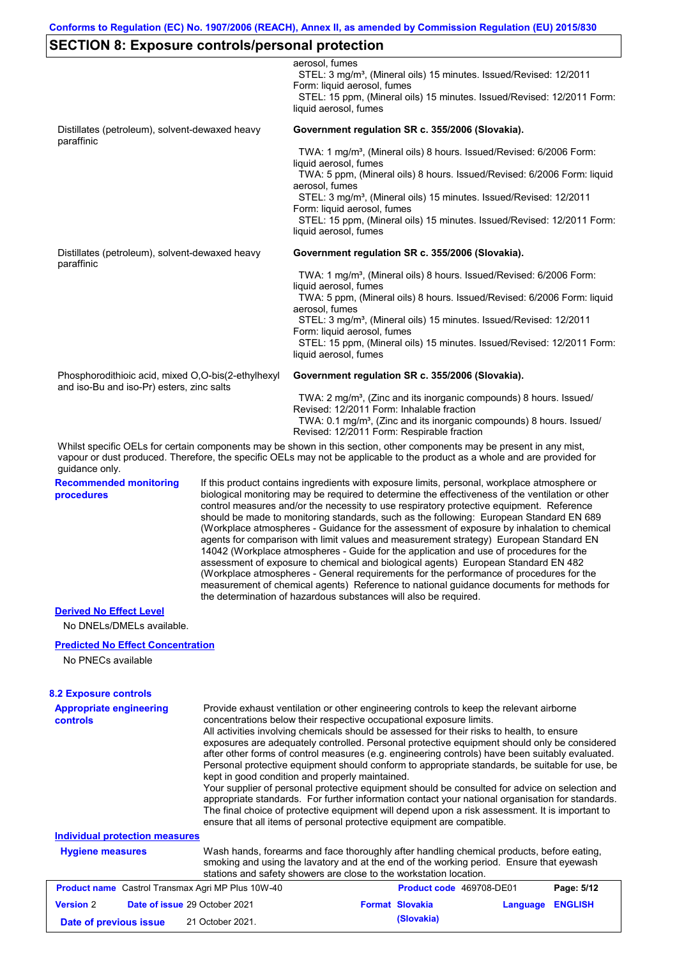# **SECTION 8: Exposure controls/personal protection**

|                                                                  |                                                                                                                                                                                                                                                                                                                                                                                                                                                                                                                                                                                                                                                                                                                                                                                                                                                                                                                                                                                                                            | aerosol, fumes<br>STEL: 3 mg/m <sup>3</sup> , (Mineral oils) 15 minutes. Issued/Revised: 12/2011<br>Form: liquid aerosol, fumes<br>STEL: 15 ppm, (Mineral oils) 15 minutes. Issued/Revised: 12/2011 Form:<br>liquid aerosol, fumes                                                                                                                                                                                                                                                                                                                                                                                                                                                                                                                                                                                                                                                                                                                                                                      |  |
|------------------------------------------------------------------|----------------------------------------------------------------------------------------------------------------------------------------------------------------------------------------------------------------------------------------------------------------------------------------------------------------------------------------------------------------------------------------------------------------------------------------------------------------------------------------------------------------------------------------------------------------------------------------------------------------------------------------------------------------------------------------------------------------------------------------------------------------------------------------------------------------------------------------------------------------------------------------------------------------------------------------------------------------------------------------------------------------------------|---------------------------------------------------------------------------------------------------------------------------------------------------------------------------------------------------------------------------------------------------------------------------------------------------------------------------------------------------------------------------------------------------------------------------------------------------------------------------------------------------------------------------------------------------------------------------------------------------------------------------------------------------------------------------------------------------------------------------------------------------------------------------------------------------------------------------------------------------------------------------------------------------------------------------------------------------------------------------------------------------------|--|
| Distillates (petroleum), solvent-dewaxed heavy                   |                                                                                                                                                                                                                                                                                                                                                                                                                                                                                                                                                                                                                                                                                                                                                                                                                                                                                                                                                                                                                            | Government regulation SR c. 355/2006 (Slovakia).                                                                                                                                                                                                                                                                                                                                                                                                                                                                                                                                                                                                                                                                                                                                                                                                                                                                                                                                                        |  |
| paraffinic                                                       |                                                                                                                                                                                                                                                                                                                                                                                                                                                                                                                                                                                                                                                                                                                                                                                                                                                                                                                                                                                                                            | TWA: 1 mg/m <sup>3</sup> , (Mineral oils) 8 hours. Issued/Revised: 6/2006 Form:<br>liquid aerosol, fumes<br>TWA: 5 ppm, (Mineral oils) 8 hours. Issued/Revised: 6/2006 Form: liquid<br>aerosol, fumes<br>STEL: 3 mg/m <sup>3</sup> , (Mineral oils) 15 minutes. Issued/Revised: 12/2011<br>Form: liquid aerosol, fumes<br>STEL: 15 ppm, (Mineral oils) 15 minutes. Issued/Revised: 12/2011 Form:<br>liquid aerosol, fumes                                                                                                                                                                                                                                                                                                                                                                                                                                                                                                                                                                               |  |
| Distillates (petroleum), solvent-dewaxed heavy                   |                                                                                                                                                                                                                                                                                                                                                                                                                                                                                                                                                                                                                                                                                                                                                                                                                                                                                                                                                                                                                            | Government regulation SR c. 355/2006 (Slovakia).                                                                                                                                                                                                                                                                                                                                                                                                                                                                                                                                                                                                                                                                                                                                                                                                                                                                                                                                                        |  |
| paraffinic                                                       |                                                                                                                                                                                                                                                                                                                                                                                                                                                                                                                                                                                                                                                                                                                                                                                                                                                                                                                                                                                                                            | TWA: 1 mg/m <sup>3</sup> , (Mineral oils) 8 hours. Issued/Revised: 6/2006 Form:<br>liquid aerosol, fumes<br>TWA: 5 ppm, (Mineral oils) 8 hours. Issued/Revised: 6/2006 Form: liquid<br>aerosol, fumes<br>STEL: 3 mg/m <sup>3</sup> , (Mineral oils) 15 minutes. Issued/Revised: 12/2011<br>Form: liquid aerosol, fumes<br>STEL: 15 ppm, (Mineral oils) 15 minutes. Issued/Revised: 12/2011 Form:<br>liquid aerosol, fumes                                                                                                                                                                                                                                                                                                                                                                                                                                                                                                                                                                               |  |
| Phosphorodithioic acid, mixed O,O-bis(2-ethylhexyl               |                                                                                                                                                                                                                                                                                                                                                                                                                                                                                                                                                                                                                                                                                                                                                                                                                                                                                                                                                                                                                            | Government regulation SR c. 355/2006 (Slovakia).                                                                                                                                                                                                                                                                                                                                                                                                                                                                                                                                                                                                                                                                                                                                                                                                                                                                                                                                                        |  |
| and iso-Bu and iso-Pr) esters, zinc salts                        |                                                                                                                                                                                                                                                                                                                                                                                                                                                                                                                                                                                                                                                                                                                                                                                                                                                                                                                                                                                                                            | TWA: 2 mg/m <sup>3</sup> , (Zinc and its inorganic compounds) 8 hours. Issued/<br>Revised: 12/2011 Form: Inhalable fraction<br>TWA: 0.1 mg/m <sup>3</sup> , (Zinc and its inorganic compounds) 8 hours. Issued/<br>Revised: 12/2011 Form: Respirable fraction<br>Whilst specific OELs for certain components may be shown in this section, other components may be present in any mist,                                                                                                                                                                                                                                                                                                                                                                                                                                                                                                                                                                                                                 |  |
| guidance only.                                                   |                                                                                                                                                                                                                                                                                                                                                                                                                                                                                                                                                                                                                                                                                                                                                                                                                                                                                                                                                                                                                            | vapour or dust produced. Therefore, the specific OELs may not be applicable to the product as a whole and are provided for                                                                                                                                                                                                                                                                                                                                                                                                                                                                                                                                                                                                                                                                                                                                                                                                                                                                              |  |
| <b>Recommended monitoring</b><br>procedures                      | If this product contains ingredients with exposure limits, personal, workplace atmosphere or<br>biological monitoring may be required to determine the effectiveness of the ventilation or other<br>control measures and/or the necessity to use respiratory protective equipment. Reference<br>should be made to monitoring standards, such as the following: European Standard EN 689<br>(Workplace atmospheres - Guidance for the assessment of exposure by inhalation to chemical<br>agents for comparison with limit values and measurement strategy) European Standard EN<br>14042 (Workplace atmospheres - Guide for the application and use of procedures for the<br>assessment of exposure to chemical and biological agents) European Standard EN 482<br>(Workplace atmospheres - General requirements for the performance of procedures for the<br>measurement of chemical agents) Reference to national guidance documents for methods for<br>the determination of hazardous substances will also be required. |                                                                                                                                                                                                                                                                                                                                                                                                                                                                                                                                                                                                                                                                                                                                                                                                                                                                                                                                                                                                         |  |
| <b>Derived No Effect Level</b>                                   |                                                                                                                                                                                                                                                                                                                                                                                                                                                                                                                                                                                                                                                                                                                                                                                                                                                                                                                                                                                                                            |                                                                                                                                                                                                                                                                                                                                                                                                                                                                                                                                                                                                                                                                                                                                                                                                                                                                                                                                                                                                         |  |
| No DNELs/DMELs available.                                        |                                                                                                                                                                                                                                                                                                                                                                                                                                                                                                                                                                                                                                                                                                                                                                                                                                                                                                                                                                                                                            |                                                                                                                                                                                                                                                                                                                                                                                                                                                                                                                                                                                                                                                                                                                                                                                                                                                                                                                                                                                                         |  |
| <b>Predicted No Effect Concentration</b><br>No PNECs available   |                                                                                                                                                                                                                                                                                                                                                                                                                                                                                                                                                                                                                                                                                                                                                                                                                                                                                                                                                                                                                            |                                                                                                                                                                                                                                                                                                                                                                                                                                                                                                                                                                                                                                                                                                                                                                                                                                                                                                                                                                                                         |  |
| <b>8.2 Exposure controls</b>                                     |                                                                                                                                                                                                                                                                                                                                                                                                                                                                                                                                                                                                                                                                                                                                                                                                                                                                                                                                                                                                                            |                                                                                                                                                                                                                                                                                                                                                                                                                                                                                                                                                                                                                                                                                                                                                                                                                                                                                                                                                                                                         |  |
| <b>Appropriate engineering</b><br><b>controls</b>                |                                                                                                                                                                                                                                                                                                                                                                                                                                                                                                                                                                                                                                                                                                                                                                                                                                                                                                                                                                                                                            | Provide exhaust ventilation or other engineering controls to keep the relevant airborne<br>concentrations below their respective occupational exposure limits.<br>All activities involving chemicals should be assessed for their risks to health, to ensure<br>exposures are adequately controlled. Personal protective equipment should only be considered<br>after other forms of control measures (e.g. engineering controls) have been suitably evaluated.<br>Personal protective equipment should conform to appropriate standards, be suitable for use, be<br>kept in good condition and properly maintained.<br>Your supplier of personal protective equipment should be consulted for advice on selection and<br>appropriate standards. For further information contact your national organisation for standards.<br>The final choice of protective equipment will depend upon a risk assessment. It is important to<br>ensure that all items of personal protective equipment are compatible. |  |
| <b>Individual protection measures</b><br><b>Hygiene measures</b> |                                                                                                                                                                                                                                                                                                                                                                                                                                                                                                                                                                                                                                                                                                                                                                                                                                                                                                                                                                                                                            | Wash hands, forearms and face thoroughly after handling chemical products, before eating,                                                                                                                                                                                                                                                                                                                                                                                                                                                                                                                                                                                                                                                                                                                                                                                                                                                                                                               |  |
|                                                                  |                                                                                                                                                                                                                                                                                                                                                                                                                                                                                                                                                                                                                                                                                                                                                                                                                                                                                                                                                                                                                            | smoking and using the lavatory and at the end of the working period. Ensure that eyewash<br>stations and safety showers are close to the workstation location.                                                                                                                                                                                                                                                                                                                                                                                                                                                                                                                                                                                                                                                                                                                                                                                                                                          |  |
| Product name Castrol Transmax Agri MP Plus 10W-40                |                                                                                                                                                                                                                                                                                                                                                                                                                                                                                                                                                                                                                                                                                                                                                                                                                                                                                                                                                                                                                            | Page: 5/12<br>Product code 469708-DE01                                                                                                                                                                                                                                                                                                                                                                                                                                                                                                                                                                                                                                                                                                                                                                                                                                                                                                                                                                  |  |
| <b>Version 2</b>                                                 | Date of issue 29 October 2021                                                                                                                                                                                                                                                                                                                                                                                                                                                                                                                                                                                                                                                                                                                                                                                                                                                                                                                                                                                              | <b>Format Slovakia</b><br>Language ENGLISH                                                                                                                                                                                                                                                                                                                                                                                                                                                                                                                                                                                                                                                                                                                                                                                                                                                                                                                                                              |  |

**Date of previous issue (Slovakia)** 21 October 2021.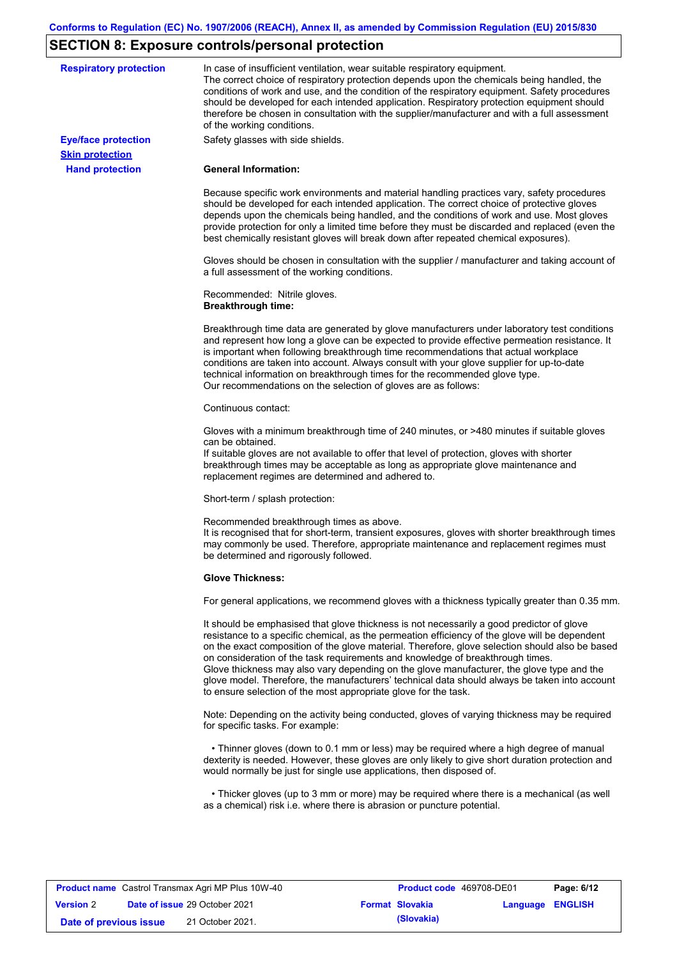# **SECTION 8: Exposure controls/personal protection**

| <b>Respiratory protection</b> | In case of insufficient ventilation, wear suitable respiratory equipment.<br>The correct choice of respiratory protection depends upon the chemicals being handled, the<br>conditions of work and use, and the condition of the respiratory equipment. Safety procedures<br>should be developed for each intended application. Respiratory protection equipment should<br>therefore be chosen in consultation with the supplier/manufacturer and with a full assessment<br>of the working conditions.                                                                                                                                             |
|-------------------------------|---------------------------------------------------------------------------------------------------------------------------------------------------------------------------------------------------------------------------------------------------------------------------------------------------------------------------------------------------------------------------------------------------------------------------------------------------------------------------------------------------------------------------------------------------------------------------------------------------------------------------------------------------|
| <b>Eye/face protection</b>    | Safety glasses with side shields.                                                                                                                                                                                                                                                                                                                                                                                                                                                                                                                                                                                                                 |
| <b>Skin protection</b>        |                                                                                                                                                                                                                                                                                                                                                                                                                                                                                                                                                                                                                                                   |
| <b>Hand protection</b>        | <b>General Information:</b>                                                                                                                                                                                                                                                                                                                                                                                                                                                                                                                                                                                                                       |
|                               | Because specific work environments and material handling practices vary, safety procedures<br>should be developed for each intended application. The correct choice of protective gloves<br>depends upon the chemicals being handled, and the conditions of work and use. Most gloves<br>provide protection for only a limited time before they must be discarded and replaced (even the<br>best chemically resistant gloves will break down after repeated chemical exposures).                                                                                                                                                                  |
|                               | Gloves should be chosen in consultation with the supplier / manufacturer and taking account of<br>a full assessment of the working conditions.                                                                                                                                                                                                                                                                                                                                                                                                                                                                                                    |
|                               | Recommended: Nitrile gloves.<br><b>Breakthrough time:</b>                                                                                                                                                                                                                                                                                                                                                                                                                                                                                                                                                                                         |
|                               | Breakthrough time data are generated by glove manufacturers under laboratory test conditions<br>and represent how long a glove can be expected to provide effective permeation resistance. It<br>is important when following breakthrough time recommendations that actual workplace<br>conditions are taken into account. Always consult with your glove supplier for up-to-date<br>technical information on breakthrough times for the recommended glove type.<br>Our recommendations on the selection of gloves are as follows:                                                                                                                |
|                               | Continuous contact:                                                                                                                                                                                                                                                                                                                                                                                                                                                                                                                                                                                                                               |
|                               | Gloves with a minimum breakthrough time of 240 minutes, or >480 minutes if suitable gloves<br>can be obtained.<br>If suitable gloves are not available to offer that level of protection, gloves with shorter<br>breakthrough times may be acceptable as long as appropriate glove maintenance and<br>replacement regimes are determined and adhered to.                                                                                                                                                                                                                                                                                          |
|                               | Short-term / splash protection:                                                                                                                                                                                                                                                                                                                                                                                                                                                                                                                                                                                                                   |
|                               | Recommended breakthrough times as above.<br>It is recognised that for short-term, transient exposures, gloves with shorter breakthrough times<br>may commonly be used. Therefore, appropriate maintenance and replacement regimes must<br>be determined and rigorously followed.                                                                                                                                                                                                                                                                                                                                                                  |
|                               | <b>Glove Thickness:</b>                                                                                                                                                                                                                                                                                                                                                                                                                                                                                                                                                                                                                           |
|                               | For general applications, we recommend gloves with a thickness typically greater than 0.35 mm.                                                                                                                                                                                                                                                                                                                                                                                                                                                                                                                                                    |
|                               | It should be emphasised that glove thickness is not necessarily a good predictor of glove<br>resistance to a specific chemical, as the permeation efficiency of the glove will be dependent<br>on the exact composition of the glove material. Therefore, glove selection should also be based<br>on consideration of the task requirements and knowledge of breakthrough times.<br>Glove thickness may also vary depending on the glove manufacturer, the glove type and the<br>glove model. Therefore, the manufacturers' technical data should always be taken into account<br>to ensure selection of the most appropriate glove for the task. |
|                               | Note: Depending on the activity being conducted, gloves of varying thickness may be required<br>for specific tasks. For example:                                                                                                                                                                                                                                                                                                                                                                                                                                                                                                                  |
|                               | • Thinner gloves (down to 0.1 mm or less) may be required where a high degree of manual<br>dexterity is needed. However, these gloves are only likely to give short duration protection and<br>would normally be just for single use applications, then disposed of.                                                                                                                                                                                                                                                                                                                                                                              |
|                               | • Thicker gloves (up to 3 mm or more) may be required where there is a mechanical (as well<br>as a chemical) risk i.e. where there is abrasion or puncture potential.                                                                                                                                                                                                                                                                                                                                                                                                                                                                             |

| <b>Product name</b> Castrol Transmax Agri MP Plus 10W-40 |  | Product code 469708-DE01             | Page: 6/12 |                        |                  |  |
|----------------------------------------------------------|--|--------------------------------------|------------|------------------------|------------------|--|
| <b>Version 2</b>                                         |  | <b>Date of issue 29 October 2021</b> |            | <b>Format Slovakia</b> | Language ENGLISH |  |
| Date of previous issue                                   |  | 21 October 2021.                     |            | (Slovakia)             |                  |  |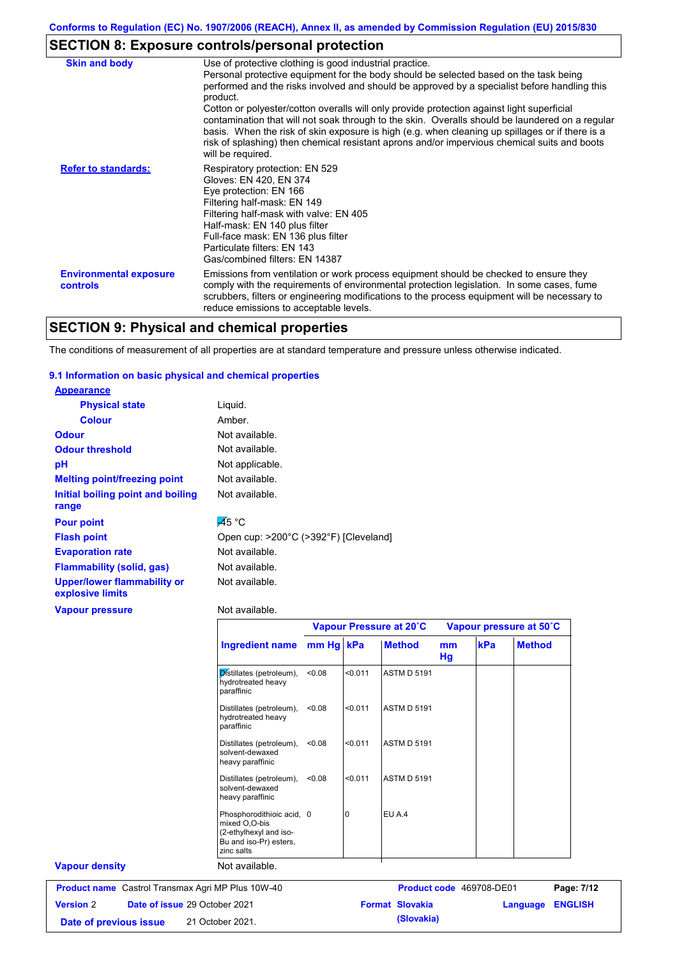## **SECTION 8: Exposure controls/personal protection**

| <b>Skin and body</b>                      | Use of protective clothing is good industrial practice.<br>Personal protective equipment for the body should be selected based on the task being<br>performed and the risks involved and should be approved by a specialist before handling this<br>product.<br>Cotton or polyester/cotton overalls will only provide protection against light superficial<br>contamination that will not soak through to the skin. Overalls should be laundered on a regular<br>basis. When the risk of skin exposure is high (e.g. when cleaning up spillages or if there is a<br>risk of splashing) then chemical resistant aprons and/or impervious chemical suits and boots<br>will be required. |
|-------------------------------------------|---------------------------------------------------------------------------------------------------------------------------------------------------------------------------------------------------------------------------------------------------------------------------------------------------------------------------------------------------------------------------------------------------------------------------------------------------------------------------------------------------------------------------------------------------------------------------------------------------------------------------------------------------------------------------------------|
| <b>Refer to standards:</b>                | Respiratory protection: EN 529<br>Gloves: EN 420, EN 374<br>Eye protection: EN 166<br>Filtering half-mask: EN 149<br>Filtering half-mask with valve: EN 405<br>Half-mask: EN 140 plus filter<br>Full-face mask: EN 136 plus filter<br>Particulate filters: EN 143<br>Gas/combined filters: EN 14387                                                                                                                                                                                                                                                                                                                                                                                   |
| <b>Environmental exposure</b><br>controls | Emissions from ventilation or work process equipment should be checked to ensure they<br>comply with the requirements of environmental protection legislation. In some cases, fume<br>scrubbers, filters or engineering modifications to the process equipment will be necessary to<br>reduce emissions to acceptable levels.                                                                                                                                                                                                                                                                                                                                                         |
|                                           |                                                                                                                                                                                                                                                                                                                                                                                                                                                                                                                                                                                                                                                                                       |

## **SECTION 9: Physical and chemical properties**

The conditions of measurement of all properties are at standard temperature and pressure unless otherwise indicated.

### **9.1 Information on basic physical and chemical properties**

| <b>Appearance</b>                               |                                       |
|-------------------------------------------------|---------------------------------------|
| <b>Physical state</b>                           | Liquid.                               |
| <b>Colour</b>                                   | Amber.                                |
| <b>Odour</b>                                    | Not available.                        |
| <b>Odour threshold</b>                          | Not available.                        |
| рH                                              | Not applicable.                       |
| <b>Melting point/freezing point</b>             | Not available.                        |
| Initial boiling point and boiling               | Not available.                        |
| range                                           |                                       |
| <b>Pour point</b>                               | $\overline{45}$ °C                    |
| <b>Flash point</b>                              | Open cup: >200°C (>392°F) [Cleveland] |
| <b>Evaporation rate</b>                         | Not available.                        |
| <b>Flammability (solid, gas)</b>                | Not available.                        |
| Upper/lower flammability or<br>explosive limits | Not available.                        |
| <b>Vapour pressure</b>                          | Not available.                        |

|                                                          |                                                                                                              |           | Vapour Pressure at 20°C<br>Vapour pressure at 50°C |                          |          |     |                            |
|----------------------------------------------------------|--------------------------------------------------------------------------------------------------------------|-----------|----------------------------------------------------|--------------------------|----------|-----|----------------------------|
|                                                          | <b>Ingredient name</b>                                                                                       | mm Hg kPa |                                                    | <b>Method</b>            | mm<br>Hg | kPa | <b>Method</b>              |
|                                                          | Distillates (petroleum),<br>hydrotreated heavy<br>paraffinic                                                 | < 0.08    | < 0.011                                            | <b>ASTM D 5191</b>       |          |     |                            |
|                                                          | Distillates (petroleum),<br>hydrotreated heavy<br>paraffinic                                                 | < 0.08    | < 0.011                                            | <b>ASTM D 5191</b>       |          |     |                            |
|                                                          | Distillates (petroleum),<br>solvent-dewaxed<br>heavy paraffinic                                              | < 0.08    | < 0.011                                            | <b>ASTM D 5191</b>       |          |     |                            |
|                                                          | Distillates (petroleum),<br>solvent-dewaxed<br>heavy paraffinic                                              | < 0.08    | < 0.011                                            | <b>ASTM D 5191</b>       |          |     |                            |
|                                                          | Phosphorodithioic acid, 0<br>mixed O.O-bis<br>(2-ethylhexyl and iso-<br>Bu and iso-Pr) esters,<br>zinc salts |           | <sup>0</sup>                                       | EU A.4                   |          |     |                            |
| <b>Vapour density</b>                                    | Not available.                                                                                               |           |                                                    |                          |          |     |                            |
| <b>Product name</b> Castrol Transmax Agri MP Plus 10W-40 |                                                                                                              |           |                                                    | Product code 469708-DE01 |          |     | Page: 7/12                 |
| <b>Version 2</b>                                         | Date of issue 29 October 2021                                                                                |           |                                                    | <b>Format Slovakia</b>   |          |     | <b>ENGLISH</b><br>Language |

**Date of previous issue (Slovakia)** 21 October 2021.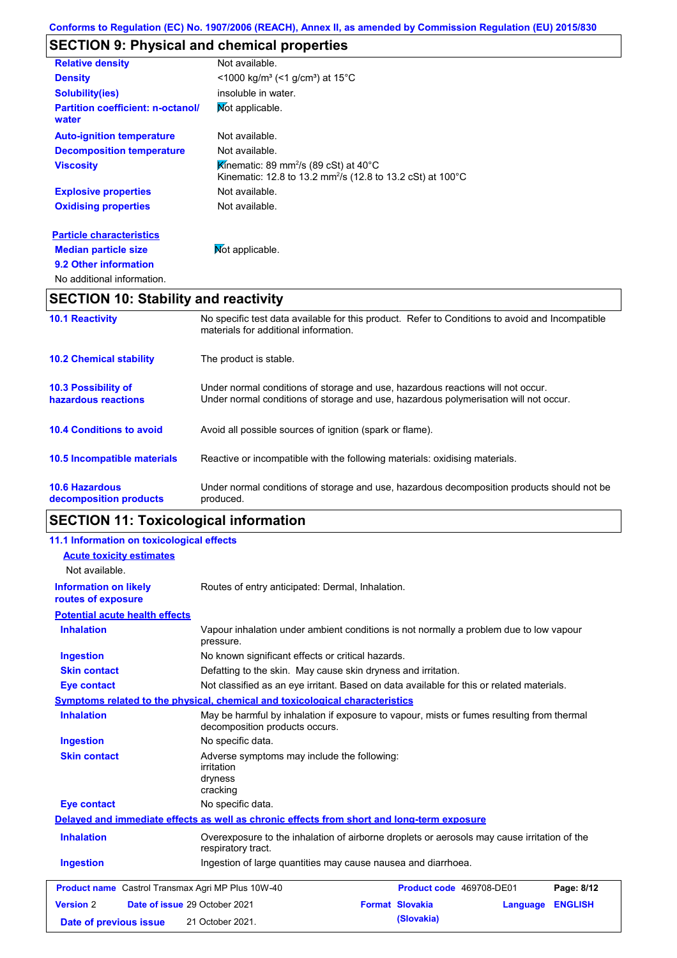# **SECTION 9: Physical and chemical properties**

| <b>Relative density</b>                           | Not available.                                                                                                                         |
|---------------------------------------------------|----------------------------------------------------------------------------------------------------------------------------------------|
| <b>Density</b>                                    | $\leq$ 1000 kg/m <sup>3</sup> (<1 g/cm <sup>3</sup> ) at 15 <sup>°</sup> C                                                             |
| <b>Solubility(ies)</b>                            | insoluble in water.                                                                                                                    |
| <b>Partition coefficient: n-octanol/</b><br>water | Mot applicable.                                                                                                                        |
| <b>Auto-ignition temperature</b>                  | Not available.                                                                                                                         |
| <b>Decomposition temperature</b>                  | Not available.                                                                                                                         |
| <b>Viscosity</b>                                  | Kinematic: 89 mm <sup>2</sup> /s (89 cSt) at 40 $^{\circ}$ C<br>Kinematic: 12.8 to 13.2 mm <sup>2</sup> /s (12.8 to 13.2 cSt) at 100°C |
| <b>Explosive properties</b>                       | Not available.                                                                                                                         |
| <b>Oxidising properties</b>                       | Not available.                                                                                                                         |
| <b>Particle characteristics</b>                   |                                                                                                                                        |
| <b>Median particle size</b>                       | Mot applicable.                                                                                                                        |

# **SECTION 10: Stability and reactivity**

**9.2 Other information**

No additional information.

| <b>10.1 Reactivity</b>                            | No specific test data available for this product. Refer to Conditions to avoid and Incompatible<br>materials for additional information.                                |  |
|---------------------------------------------------|-------------------------------------------------------------------------------------------------------------------------------------------------------------------------|--|
| <b>10.2 Chemical stability</b>                    | The product is stable.                                                                                                                                                  |  |
| <b>10.3 Possibility of</b><br>hazardous reactions | Under normal conditions of storage and use, hazardous reactions will not occur.<br>Under normal conditions of storage and use, hazardous polymerisation will not occur. |  |
| <b>10.4 Conditions to avoid</b>                   | Avoid all possible sources of ignition (spark or flame).                                                                                                                |  |
| <b>10.5 Incompatible materials</b>                | Reactive or incompatible with the following materials: oxidising materials.                                                                                             |  |
| <b>10.6 Hazardous</b><br>decomposition products   | Under normal conditions of storage and use, hazardous decomposition products should not be<br>produced.                                                                 |  |

# **SECTION 11: Toxicological information**

| 11.1 Information on toxicological effects          |                                                                                                                             |                                                                                        |  |  |
|----------------------------------------------------|-----------------------------------------------------------------------------------------------------------------------------|----------------------------------------------------------------------------------------|--|--|
| <b>Acute toxicity estimates</b>                    |                                                                                                                             |                                                                                        |  |  |
| Not available.                                     |                                                                                                                             |                                                                                        |  |  |
| <b>Information on likely</b><br>routes of exposure | Routes of entry anticipated: Dermal, Inhalation.                                                                            |                                                                                        |  |  |
| <b>Potential acute health effects</b>              |                                                                                                                             |                                                                                        |  |  |
| <b>Inhalation</b>                                  | pressure.                                                                                                                   | Vapour inhalation under ambient conditions is not normally a problem due to low vapour |  |  |
| <b>Ingestion</b>                                   | No known significant effects or critical hazards.                                                                           |                                                                                        |  |  |
| <b>Skin contact</b>                                | Defatting to the skin. May cause skin dryness and irritation.                                                               |                                                                                        |  |  |
| <b>Eye contact</b>                                 | Not classified as an eye irritant. Based on data available for this or related materials.                                   |                                                                                        |  |  |
|                                                    | Symptoms related to the physical, chemical and toxicological characteristics                                                |                                                                                        |  |  |
| <b>Inhalation</b>                                  | May be harmful by inhalation if exposure to vapour, mists or fumes resulting from thermal<br>decomposition products occurs. |                                                                                        |  |  |
| <b>Ingestion</b>                                   | No specific data.                                                                                                           |                                                                                        |  |  |
| <b>Skin contact</b>                                | Adverse symptoms may include the following:<br><i>irritation</i><br>dryness<br>cracking                                     |                                                                                        |  |  |
| <b>Eye contact</b>                                 | No specific data.                                                                                                           |                                                                                        |  |  |
|                                                    | Delayed and immediate effects as well as chronic effects from short and long-term exposure                                  |                                                                                        |  |  |
| <b>Inhalation</b>                                  | Overexposure to the inhalation of airborne droplets or aerosols may cause irritation of the<br>respiratory tract.           |                                                                                        |  |  |
| <b>Ingestion</b>                                   | Ingestion of large quantities may cause nausea and diarrhoea.                                                               |                                                                                        |  |  |
| Product name Castrol Transmax Agri MP Plus 10W-40  |                                                                                                                             | Product code 469708-DE01<br>Page: 8/12                                                 |  |  |
| <b>Version 2</b>                                   | Date of issue 29 October 2021<br><b>Format Slovakia</b>                                                                     | <b>ENGLISH</b><br>Language                                                             |  |  |
| Date of previous issue                             | 21 October 2021.                                                                                                            | (Slovakia)                                                                             |  |  |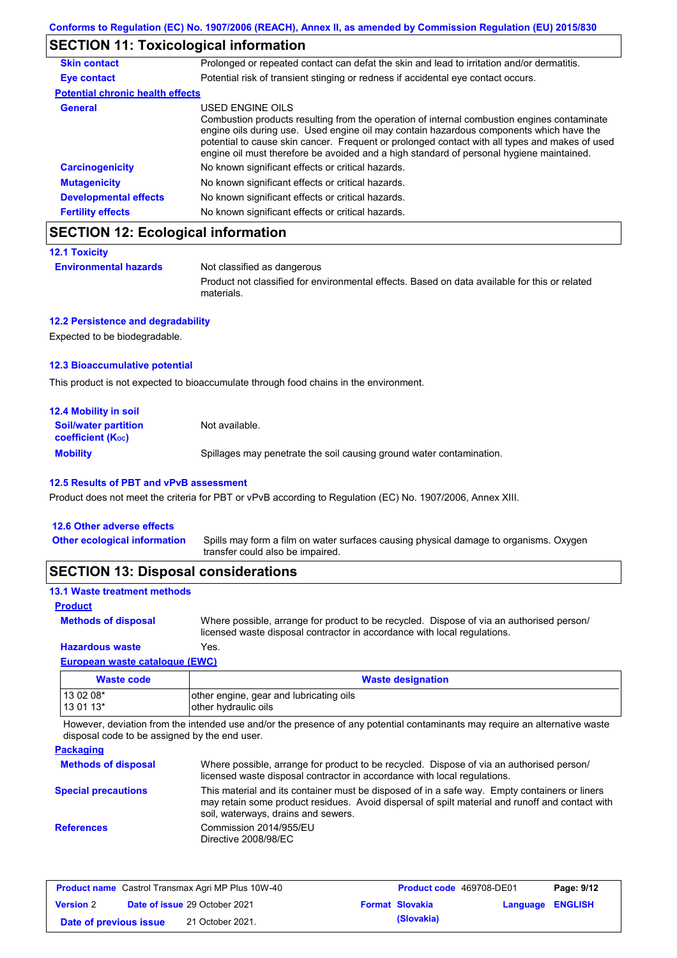## **SECTION 11: Toxicological information**

| <b>Skin contact</b>                     | Prolonged or repeated contact can defat the skin and lead to irritation and/or dermatitis.                                                                                                                                                                                                                                                                                                               |  |
|-----------------------------------------|----------------------------------------------------------------------------------------------------------------------------------------------------------------------------------------------------------------------------------------------------------------------------------------------------------------------------------------------------------------------------------------------------------|--|
| Eye contact                             | Potential risk of transient stinging or redness if accidental eye contact occurs.                                                                                                                                                                                                                                                                                                                        |  |
| <b>Potential chronic health effects</b> |                                                                                                                                                                                                                                                                                                                                                                                                          |  |
| <b>General</b>                          | USED ENGINE OILS<br>Combustion products resulting from the operation of internal combustion engines contaminate<br>engine oils during use. Used engine oil may contain hazardous components which have the<br>potential to cause skin cancer. Frequent or prolonged contact with all types and makes of used<br>engine oil must therefore be avoided and a high standard of personal hygiene maintained. |  |
| <b>Carcinogenicity</b>                  | No known significant effects or critical hazards.                                                                                                                                                                                                                                                                                                                                                        |  |
| <b>Mutagenicity</b>                     | No known significant effects or critical hazards.                                                                                                                                                                                                                                                                                                                                                        |  |
| <b>Developmental effects</b>            | No known significant effects or critical hazards.                                                                                                                                                                                                                                                                                                                                                        |  |
| <b>Fertility effects</b>                | No known significant effects or critical hazards.                                                                                                                                                                                                                                                                                                                                                        |  |

## **SECTION 12: Ecological information**

| <b>Environmental hazards</b> | Not classified as dangerous                                                                                 |
|------------------------------|-------------------------------------------------------------------------------------------------------------|
|                              | Product not classified for environmental effects. Based on data available for this or related<br>materials. |

### **12.2 Persistence and degradability**

Expected to be biodegradable.

### **12.3 Bioaccumulative potential**

This product is not expected to bioaccumulate through food chains in the environment.

| <b>12.4 Mobility in soil</b>                                  |                                                                      |
|---------------------------------------------------------------|----------------------------------------------------------------------|
| <b>Soil/water partition</b><br>coefficient (K <sub>oc</sub> ) | Not available.                                                       |
| <b>Mobility</b>                                               | Spillages may penetrate the soil causing ground water contamination. |

### **12.5 Results of PBT and vPvB assessment**

Product does not meet the criteria for PBT or vPvB according to Regulation (EC) No. 1907/2006, Annex XIII.

| <b>OFOTION 40. Diamocol considerations</b> |                                                                                                                           |
|--------------------------------------------|---------------------------------------------------------------------------------------------------------------------------|
| <b>Other ecological information</b>        | Spills may form a film on water surfaces causing physical damage to organisms. Oxygen<br>transfer could also be impaired. |
| 12.6 Other adverse effects                 |                                                                                                                           |

### **SECTION 13: Disposal considerations**

## **13.1 Waste treatment methods**

| <b>Product</b>             |                                                                                                                                                                      |
|----------------------------|----------------------------------------------------------------------------------------------------------------------------------------------------------------------|
| <b>Methods of disposal</b> | Where possible, arrange for product to be recycled. Dispose of via an authorised person/<br>licensed waste disposal contractor in accordance with local regulations. |
| <b>Hazardous waste</b>     | Yes.                                                                                                                                                                 |

### **European waste catalogue (EWC)**

| Waste code | <b>Waste designation</b>                 |
|------------|------------------------------------------|
| $130208*$  | lother engine, gear and lubricating oils |
| $130113*$  | other hydraulic oils                     |

However, deviation from the intended use and/or the presence of any potential contaminants may require an alternative waste disposal code to be assigned by the end user.

### **Packaging**

| <b>Methods of disposal</b> | Where possible, arrange for product to be recycled. Dispose of via an authorised person/<br>licensed waste disposal contractor in accordance with local regulations.                                                                    |
|----------------------------|-----------------------------------------------------------------------------------------------------------------------------------------------------------------------------------------------------------------------------------------|
| <b>Special precautions</b> | This material and its container must be disposed of in a safe way. Empty containers or liners<br>may retain some product residues. Avoid dispersal of spilt material and runoff and contact with<br>soil, waterways, drains and sewers. |
| <b>References</b>          | Commission 2014/955/EU<br>Directive 2008/98/EC                                                                                                                                                                                          |

| <b>Product name</b> Castrol Transmax Agri MP Plus 10W-40 |  | <b>Product code</b> 469708-DE01      |  | Page: 9/12             |                         |  |
|----------------------------------------------------------|--|--------------------------------------|--|------------------------|-------------------------|--|
| <b>Version 2</b>                                         |  | <b>Date of issue 29 October 2021</b> |  | <b>Format Slovakia</b> | <b>Language ENGLISH</b> |  |
| Date of previous issue                                   |  | 21 October 2021.                     |  | (Slovakia)             |                         |  |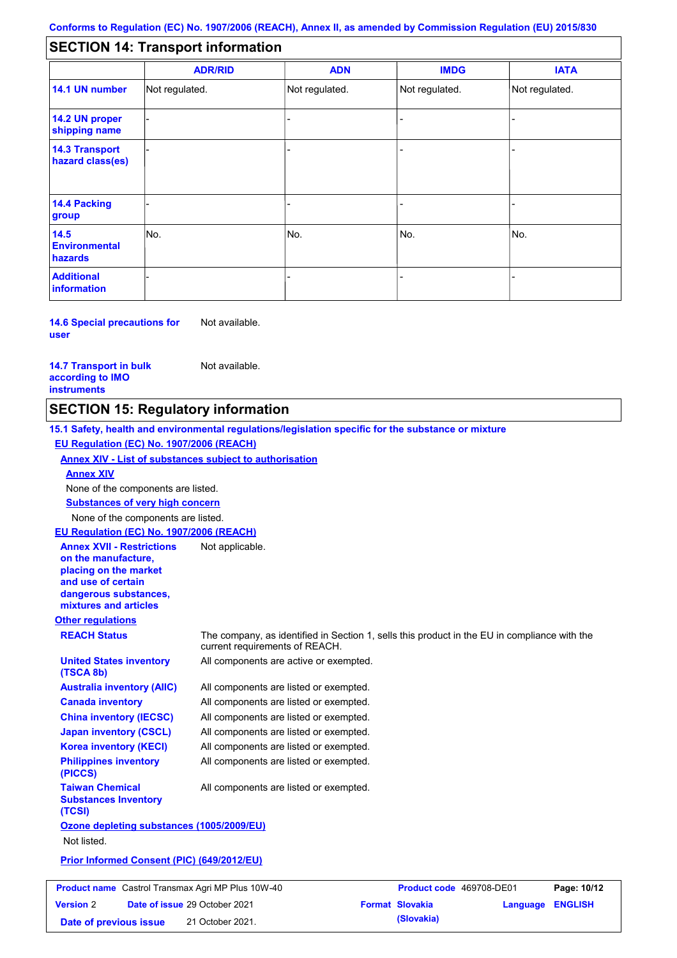#### - - - - - - - - - Not regulated. Not regulated. Not regulated. - - - **SECTION 14: Transport information ADR/RID IMDG IATA 14.1 UN number 14.2 UN proper shipping name 14.3 Transport hazard class(es) 14.4 Packing group ADN Additional information 14.5 Environmental hazards** No. 1980 | No. 1980 | No. 1980 | No. 1980 | No. 1980 | No. 1980 | No. 1980 | No. 1980 | No. 1980 | No. 1980 | Not regulated. - -<br>No. - -

**14.6 Special precautions for user** Not available.

**14.7 Transport in bulk according to IMO instruments**

**Version** 2

Not available.

## **SECTION 15: Regulatory information**

**Other regulations REACH Status** The company, as identified in Section 1, sells this product in the EU in compliance with the current requirements of REACH. **15.1 Safety, health and environmental regulations/legislation specific for the substance or mixture EU Regulation (EC) No. 1907/2006 (REACH) Annex XIV - List of substances subject to authorisation Substances of very high concern** None of the components are listed. All components are listed or exempted. All components are listed or exempted. All components are listed or exempted. All components are listed or exempted. All components are active or exempted. All components are listed or exempted. All components are listed or exempted. **United States inventory (TSCA 8b) Australia inventory (AIIC) Canada inventory China inventory (IECSC) Japan inventory (CSCL) Korea inventory (KECI) Philippines inventory (PICCS) Taiwan Chemical Substances Inventory (TCSI)** All components are listed or exempted. **Ozone depleting substances (1005/2009/EU)** Not listed. **Prior Informed Consent (PIC) (649/2012/EU)** None of the components are listed. **Annex XIV EU Regulation (EC) No. 1907/2006 (REACH) Annex XVII - Restrictions on the manufacture, placing on the market and use of certain dangerous substances, mixtures and articles** Not applicable. **Product name** Castrol Transmax Agri MP Plus 10W-40 **Product Code** 469708-DE01 **Page: 10/12** 

**Date of issue** 29 October 2021 **Format Slovakia Language ENGLISH** 

**Date of previous issue (Slovakia)** 21 October 2021.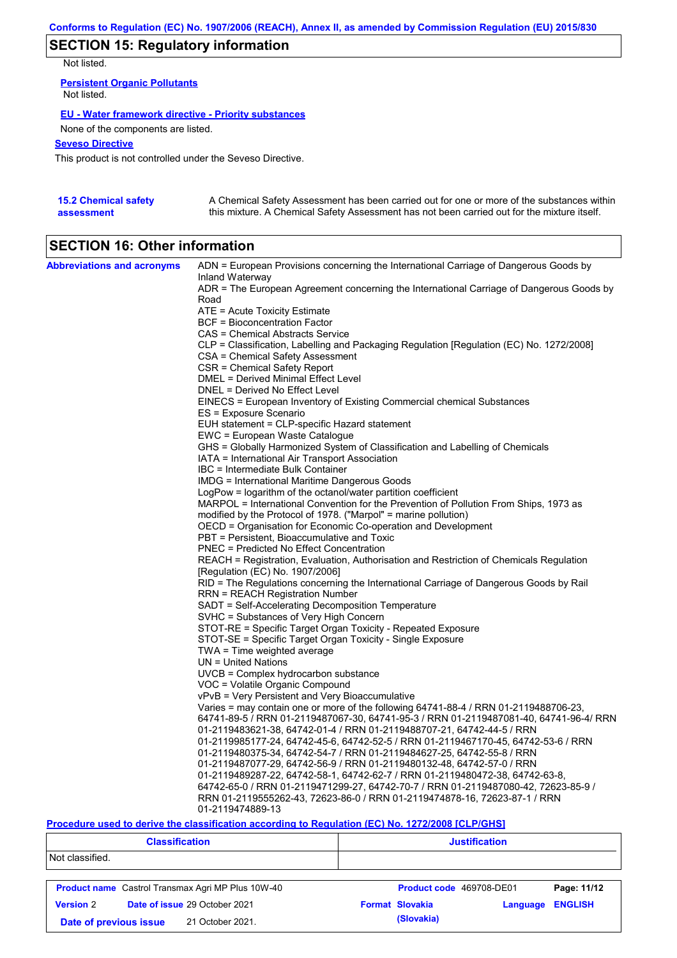## **SECTION 15: Regulatory information**

Not listed.

**Persistent Organic Pollutants** Not listed.

### **EU - Water framework directive - Priority substances**

None of the components are listed.

### **Seveso Directive**

This product is not controlled under the Seveso Directive.

| <b>15.2 Chemical safety</b> | A Chemical Safety Assessment has been carried out for one or more of the substances within  |
|-----------------------------|---------------------------------------------------------------------------------------------|
| assessment                  | this mixture. A Chemical Safety Assessment has not been carried out for the mixture itself. |

# **SECTION 16: Other information**

| <b>Abbreviations and acronyms</b> | ADN = European Provisions concerning the International Carriage of Dangerous Goods by                                           |
|-----------------------------------|---------------------------------------------------------------------------------------------------------------------------------|
|                                   | Inland Waterway<br>ADR = The European Agreement concerning the International Carriage of Dangerous Goods by                     |
|                                   | Road                                                                                                                            |
|                                   | ATE = Acute Toxicity Estimate                                                                                                   |
|                                   | BCF = Bioconcentration Factor                                                                                                   |
|                                   | CAS = Chemical Abstracts Service                                                                                                |
|                                   | CLP = Classification, Labelling and Packaging Regulation [Regulation (EC) No. 1272/2008]                                        |
|                                   | CSA = Chemical Safety Assessment                                                                                                |
|                                   | CSR = Chemical Safety Report                                                                                                    |
|                                   | DMEL = Derived Minimal Effect Level                                                                                             |
|                                   | DNEL = Derived No Effect Level                                                                                                  |
|                                   | EINECS = European Inventory of Existing Commercial chemical Substances                                                          |
|                                   | ES = Exposure Scenario                                                                                                          |
|                                   | EUH statement = CLP-specific Hazard statement                                                                                   |
|                                   | EWC = European Waste Catalogue                                                                                                  |
|                                   | GHS = Globally Harmonized System of Classification and Labelling of Chemicals<br>IATA = International Air Transport Association |
|                                   | IBC = Intermediate Bulk Container                                                                                               |
|                                   | IMDG = International Maritime Dangerous Goods                                                                                   |
|                                   | LogPow = logarithm of the octanol/water partition coefficient                                                                   |
|                                   | MARPOL = International Convention for the Prevention of Pollution From Ships, 1973 as                                           |
|                                   | modified by the Protocol of 1978. ("Marpol" = marine pollution)                                                                 |
|                                   | OECD = Organisation for Economic Co-operation and Development                                                                   |
|                                   | PBT = Persistent, Bioaccumulative and Toxic                                                                                     |
|                                   | <b>PNEC</b> = Predicted No Effect Concentration                                                                                 |
|                                   | REACH = Registration, Evaluation, Authorisation and Restriction of Chemicals Regulation                                         |
|                                   | [Regulation (EC) No. 1907/2006]                                                                                                 |
|                                   | RID = The Regulations concerning the International Carriage of Dangerous Goods by Rail                                          |
|                                   | <b>RRN = REACH Registration Number</b>                                                                                          |
|                                   | SADT = Self-Accelerating Decomposition Temperature                                                                              |
|                                   | SVHC = Substances of Very High Concern                                                                                          |
|                                   | STOT-RE = Specific Target Organ Toxicity - Repeated Exposure<br>STOT-SE = Specific Target Organ Toxicity - Single Exposure      |
|                                   | $TWA = Time$ weighted average                                                                                                   |
|                                   | $UN = United Nations$                                                                                                           |
|                                   | UVCB = Complex hydrocarbon substance                                                                                            |
|                                   | VOC = Volatile Organic Compound                                                                                                 |
|                                   | vPvB = Very Persistent and Very Bioaccumulative                                                                                 |
|                                   | Varies = may contain one or more of the following 64741-88-4 / RRN 01-2119488706-23,                                            |
|                                   | 64741-89-5 / RRN 01-2119487067-30, 64741-95-3 / RRN 01-2119487081-40, 64741-96-4/ RRN                                           |
|                                   | 01-2119483621-38, 64742-01-4 / RRN 01-2119488707-21, 64742-44-5 / RRN                                                           |
|                                   | 01-2119985177-24, 64742-45-6, 64742-52-5 / RRN 01-2119467170-45, 64742-53-6 / RRN                                               |
|                                   | 01-2119480375-34, 64742-54-7 / RRN 01-2119484627-25, 64742-55-8 / RRN                                                           |
|                                   | 01-2119487077-29, 64742-56-9 / RRN 01-2119480132-48, 64742-57-0 / RRN                                                           |
|                                   | 01-2119489287-22, 64742-58-1, 64742-62-7 / RRN 01-2119480472-38, 64742-63-8,                                                    |
|                                   | 64742-65-0 / RRN 01-2119471299-27, 64742-70-7 / RRN 01-2119487080-42, 72623-85-9 /                                              |
|                                   | RRN 01-2119555262-43, 72623-86-0 / RRN 01-2119474878-16, 72623-87-1 / RRN                                                       |
|                                   | 01-2119474889-13                                                                                                                |

### **Procedure used to derive the classification according to Regulation (EC) No. 1272/2008 [CLP/GHS]**

| <b>Classification</b> |                                                          | <b>Justification</b>     |          |                |  |
|-----------------------|----------------------------------------------------------|--------------------------|----------|----------------|--|
| Not classified.       |                                                          |                          |          |                |  |
|                       | <b>Product name</b> Castrol Transmax Agri MP Plus 10W-40 | Product code 469708-DE01 |          | Page: 11/12    |  |
| <b>Version 2</b>      | <b>Date of issue 29 October 2021</b>                     | <b>Format Slovakia</b>   | Language | <b>ENGLISH</b> |  |
|                       | 21 October 2021.<br>Date of previous issue               | (Slovakia)               |          |                |  |